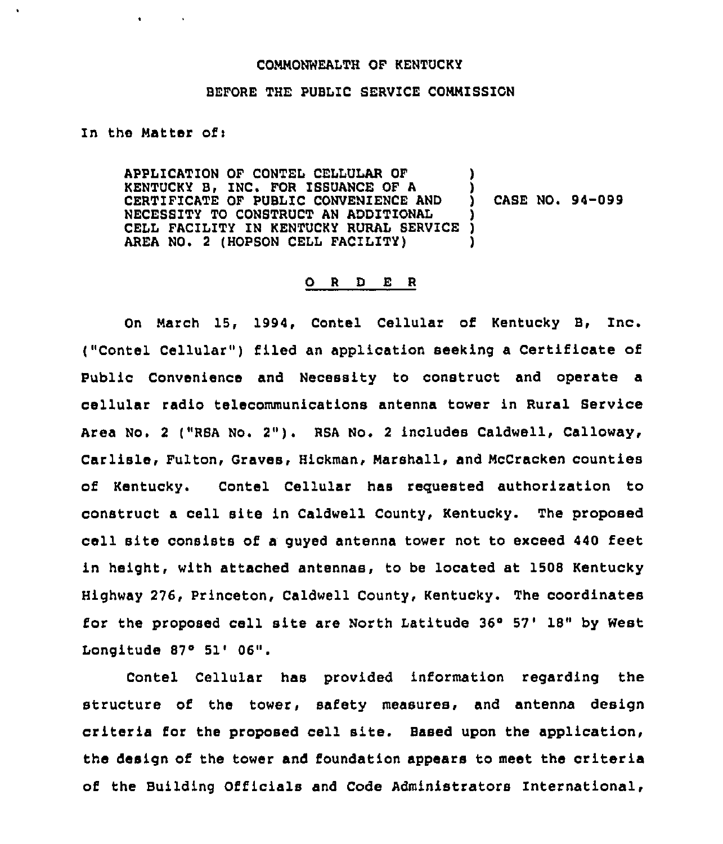## COMNONWEAITH OF KENTUCKY

## BEFORE THE PUBLIC SERVICE COMMISSION

In the Matter of:

 $\bullet$  . The set of the set of the set of the set of the set of the set of the set of the set of the set of the set of the set of the set of the set of the set of the set of the set of the set of the set of the set of the s

APPLICATION OF CONTEL CELLULAR OF KENTUCKY B, INC. FOR ISSUANCE OF A CERTIFICATE OF PUBLIC CONVENIENCE AND NECESSITY TO CONSTRUCT AN ADDITIONAL CELL FACILITY IN KENTUCKY RURAL SERVICE AREA NO. 2 (HOPSON CELL FACILITY) ) ) ) CASE NO. 94-099 ) ) )

## 0 <sup>R</sup> <sup>D</sup> E <sup>R</sup>

On March 15, 1994, Contel Cellular of Kentucky B, Inc. ("Contel Cellular") filed an application seeking a Certificate of Public Convenience and Necessity to construct and operate a cellular radio telecommunications antenna tower in Rural Service Area No. <sup>2</sup> ("RBA No. 2"). RSA No. <sup>2</sup> includes Caldwell, Calloway, Carlisle, Fulton, Graves, Hickman, Marshall, and HcCracken counties of Kentucky. Contel Cellular has requested authorization to construct a cell site in Caldwell County, Kentucky. The proposed cell site consists of a guyed antenna tower not to exceed <sup>440</sup> feet in height, with attached antennas, to be located at 1508 Kentucky Highway 276, Princeton, Caldwell County, Kentucky. The coordinates for the proposed cell site are North Latitude  $36^{\circ}$  57' 18" by West Longitude  $87^\circ$  51'  $06"$ .

Contel Cellular has provided information regarding the structure of the tower, safety measures, and antenna design criteria for the proposed cell site. Based upon the application, the design of the tower and foundation appears to meet the criteria of the Building Officials and Code Administrators International,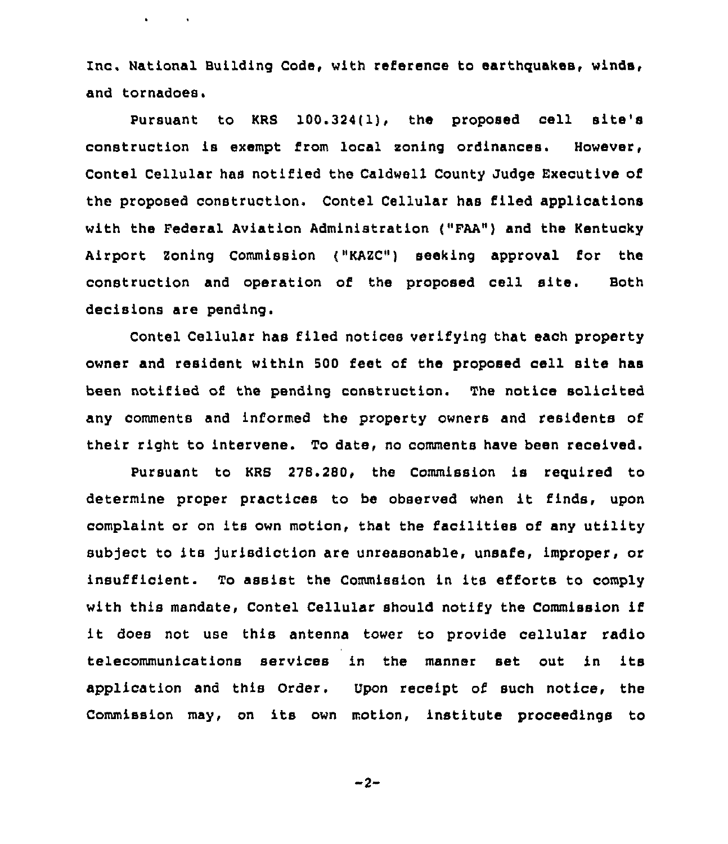Inc. National Building Code, with reference to earthquakes, winds, and tornadoes.

 $\mathbf{a} = \mathbf{a} + \mathbf{a}$  , where  $\mathbf{a} = \mathbf{a}$ 

Pursuant to KRB 100.324(l), the proposed cell site's construction is exempt from local soning ordinances. However, Contel Cellular has notified the Caldwell County Judge Executive of the proposed construction. Contel Cellular has filed applications with the Federal Aviation Administration ("FAA") and the Kentucky Airport Zoning Commission ("KAZC") seeking approval for the construction and operation of the proposed cell site. Both decisions are pending.

Contel Cellular has filed notices verifying that each property owner and resident within 500 feet of the proposed cell site has been notified of the pending construction. The notice solicited any comments and informed the property owners and residents of their right to intervene. To date, no comments have been received.

Pursuant to KRB 228.280, the Commission is required to determine proper practices to be observed when it finds, upon complaint or on its own motion, that the facilities of any utility subject to its jurisdiction are unreasonable, unsafe, improper, or insufficient. To assist the Commission in its efforts to comply with this mandate, Contel Cellular should notify the Commission if it does not use this antenna tower to provide cellular radio telecommunications services in the manner set out in its application and this Order. Upon receipt of such notice, the Commission may, on its own motion, institute proceedings to

 $-2-$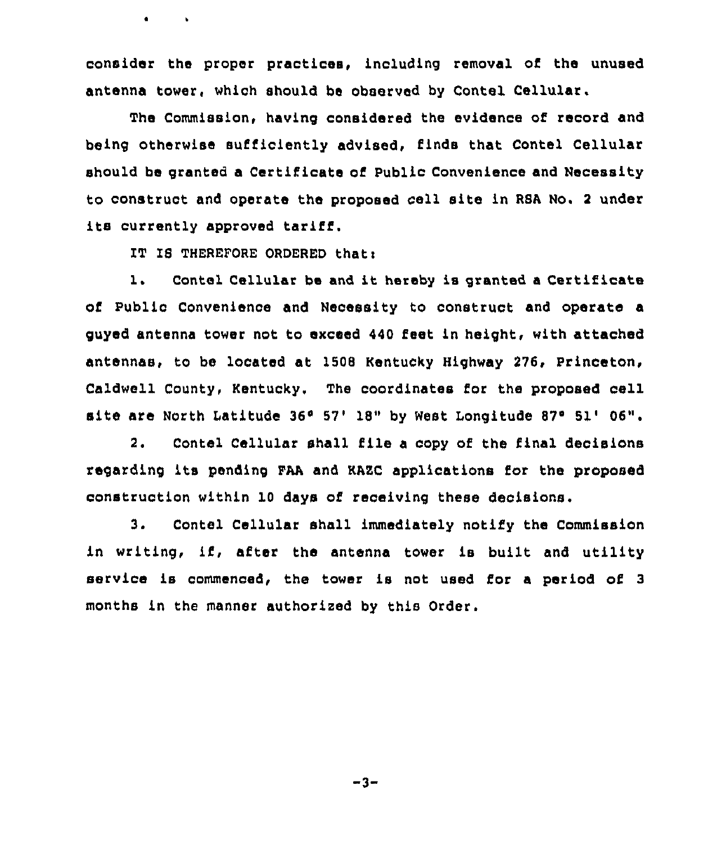consider the proper practices, including removal of the unused antenna tower, which should be observed by Contel Cellular.

The Commission, having considered the evidence of record and being otherwise sufficiently advised, finds that Contel Cellular should be granted a Certificate of Public Convenience and Necessity to construct and operate the proposed cell site in RSA No. <sup>2</sup> under its currently approved tariff.

IT IS THEREFORE ORDERED that:

 $\mathbf{e}$  and  $\mathbf{e}$ 

1. Contel Cellular be and it hereby is granted <sup>a</sup> Certificate of Public Convenience and Necessity to construct and operate a guyed antenna tower not to exceed 440 feet in height, with attached antennas, to be located at 1508 Kentucky Highway 276, Princeton, Caldwell County, Kentucky, The coordinates for the proposed cell site are North Latitude 36° 57' 18" by West Longitude 87° 51' 06".

2. Contel Cellular shall file <sup>a</sup> copy of the final decisions regarding its pending FAA and HAEC applications for the proposed construction within 10 days of receiving these decisions.

3. Contel Cellular shall immediately notify the Commission in writing, if, after the antenna tower is built and utility service is commenced, the tower is not used for <sup>a</sup> period of <sup>3</sup> months in the manner authorized by this Order.

 $-3-$